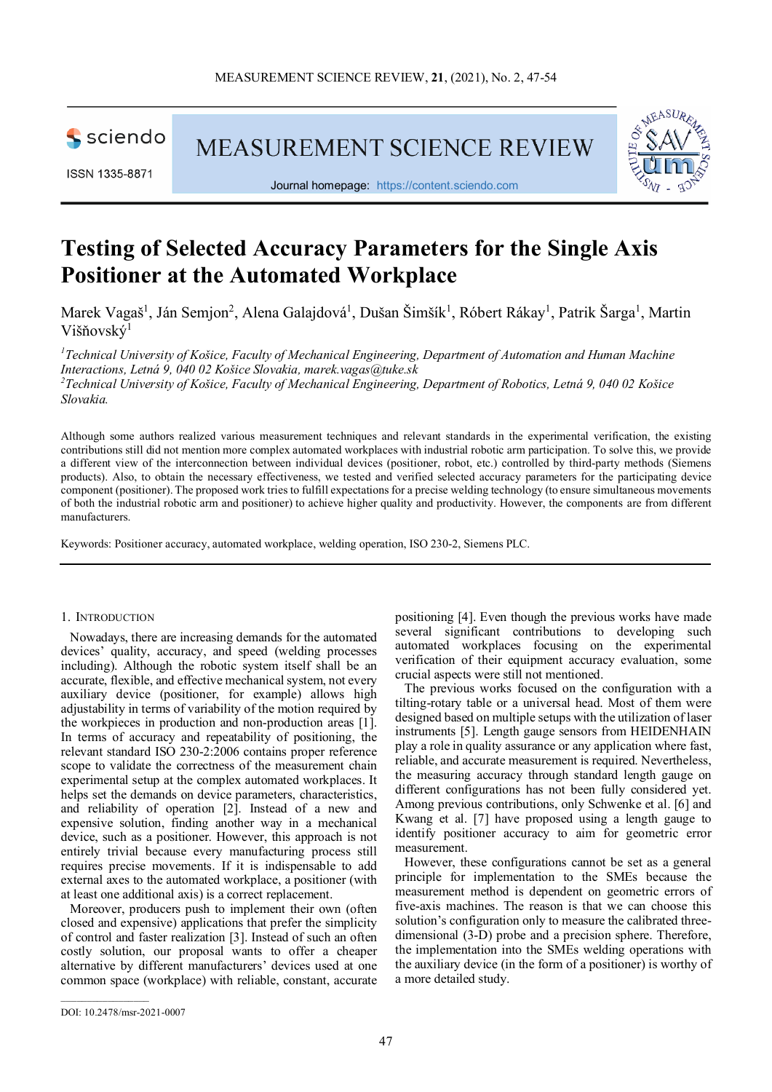

ISSN 1335-8871

MEASUREMENT SCIENCE REVIEW



Journal homepage: [https://content.sciendo.com](https://content.sciendo.com/view/journals/msr/msr-overview.xml)

# **Testing of Selected Accuracy Parameters for the Single Axis Positioner at the Automated Workplace**

Marek Vagaš<sup>1</sup>, Ján Semjon<sup>2</sup>, Alena Galajdová<sup>1</sup>, Dušan Šimšík<sup>1</sup>, Róbert Rákay<sup>1</sup>, Patrik Šarga<sup>1</sup>, Martin Višňovský<sup>1</sup>

*1 Technical University of Košice, Faculty of Mechanical Engineering, Department of Automation and Human Machine Interactions, Letná 9, 040 02 Košice Slovakia, marek.vagas@tuke.sk 2 Technical University of Košice, Faculty of Mechanical Engineering, Department of Robotics, Letná 9, 040 02 Košice Slovakia.*

Although some authors realized various measurement techniques and relevant standards in the experimental verification, the existing contributions still did not mention more complex automated workplaces with industrial robotic arm participation. To solve this, we provide a different view of the interconnection between individual devices (positioner, robot, etc.) controlled by third-party methods (Siemens products). Also, to obtain the necessary effectiveness, we tested and verified selected accuracy parameters for the participating device component (positioner). The proposed work tries to fulfill expectations for a precise welding technology (to ensure simultaneous movements of both the industrial robotic arm and positioner) to achieve higher quality and productivity. However, the components are from different manufacturers.

Keywords: Positioner accuracy, automated workplace, welding operation, ISO 230-2, Siemens PLC.

## 1. INTRODUCTION

Nowadays, there are increasing demands for the automated devices' quality, accuracy, and speed (welding processes including). Although the robotic system itself shall be an accurate, flexible, and effective mechanical system, not every auxiliary device (positioner, for example) allows high adjustability in terms of variability of the motion required by the workpieces in production and non-production areas [1]. In terms of accuracy and repeatability of positioning, the relevant standard ISO 230-2:2006 contains proper reference scope to validate the correctness of the measurement chain experimental setup at the complex automated workplaces. It helps set the demands on device parameters, characteristics, and reliability of operation [2]. Instead of a new and expensive solution, finding another way in a mechanical device, such as a positioner. However, this approach is not entirely trivial because every manufacturing process still requires precise movements. If it is indispensable to add external axes to the automated workplace, a positioner (with at least one additional axis) is a correct replacement.

Moreover, producers push to implement their own (often closed and expensive) applications that prefer the simplicity of control and faster realization [3]. Instead of such an often costly solution, our proposal wants to offer a cheaper alternative by different manufacturers' devices used at one common space (workplace) with reliable, constant, accurate

positioning [4]. Even though the previous works have made several significant contributions to developing such automated workplaces focusing on the experimental verification of their equipment accuracy evaluation, some crucial aspects were still not mentioned.

The previous works focused on the configuration with a tilting-rotary table or a universal head. Most of them were designed based on multiple setups with the utilization of laser instruments [5]. Length gauge sensors from HEIDENHAIN play a role in quality assurance or any application where fast, reliable, and accurate measurement is required. Nevertheless, the measuring accuracy through standard length gauge on different configurations has not been fully considered yet. Among previous contributions, only Schwenke et al. [6] and Kwang et al. [7] have proposed using a length gauge to identify positioner accuracy to aim for geometric error measurement.

However, these configurations cannot be set as a general principle for implementation to the SMEs because the measurement method is dependent on geometric errors of five-axis machines. The reason is that we can choose this solution's configuration only to measure the calibrated threedimensional (3-D) probe and a precision sphere. Therefore, the implementation into the SMEs welding operations with the auxiliary device (in the form of a positioner) is worthy of a more detailed study.

 $\mathcal{L}=\mathcal{L}^{\mathcal{L}}$  , where  $\mathcal{L}^{\mathcal{L}}$ 

DOI: 10.2478/msr-2021-0007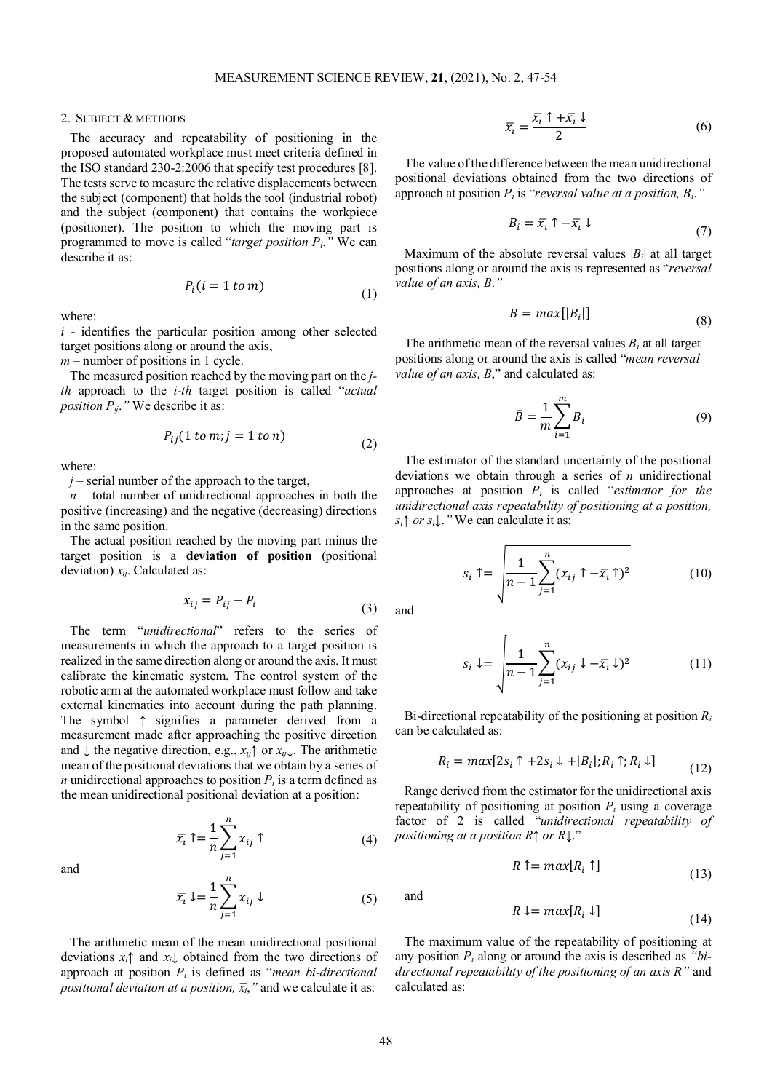## 2. SUBJECT & METHODS

The accuracy and repeatability of positioning in the proposed automated workplace must meet criteria defined in the ISO standard 230-2:2006 that specify test procedures [8]. The tests serve to measure the relative displacements between the subject (component) that holds the tool (industrial robot) and the subject (component) that contains the workpiece (positioner). The position to which the moving part is programmed to move is called "*target position Pi*.*"* We can describe it as:

$$
P_i(i = 1 \text{ to } m) \tag{1}
$$

where:

*i* - identifies the particular position among other selected target positions along or around the axis,

*m* – number of positions in 1 cycle.

The measured position reached by the moving part on the *jth* approach to the *i-th* target position is called "*actual position*  $P_{ij}$ *."* We describe it as:

$$
P_{ij}(1 \text{ to } m; j = 1 \text{ to } n) \tag{2}
$$

where:

 $j$  – serial number of the approach to the target,

 $n -$  total number of unidirectional approaches in both the positive (increasing) and the negative (decreasing) directions in the same position.

The actual position reached by the moving part minus the target position is a **deviation of position** (positional deviation)  $x_{ij}$ . Calculated as:

$$
x_{ij} = P_{ij} - P_i \tag{3}
$$

The term "*unidirectional*" refers to the series of measurements in which the approach to a target position is realized in the same direction along or around the axis. It must calibrate the kinematic system. The control system of the robotic arm at the automated workplace must follow and take external kinematics into account during the path planning. The symbol ↑ signifies a parameter derived from a measurement made after approaching the positive direction and  $\downarrow$  the negative direction, e.g.,  $x_{ij}$ <sup> $\uparrow$ </sup> or  $x_{ij}\downarrow$ . The arithmetic mean of the positional deviations that we obtain by a series of *n* unidirectional approaches to position  $P_i$  is a term defined as the mean unidirectional positional deviation at a position:

and

$$
\bar{x}_i \uparrow = \frac{1}{n} \sum_{j=1}^n x_{ij} \uparrow \tag{4}
$$

$$
\bar{x}_i \downarrow = \frac{1}{n} \sum_{j=1}^n x_{ij} \downarrow \tag{5}
$$

The arithmetic mean of the mean unidirectional positional deviations *xi↑* and *xi↓* obtained from the two directions of approach at position *Pi* is defined as "*mean bi-directional positional deviation at a position,*  $\bar{x}_i$ , " and we calculate it as:

$$
\overline{x_i} = \frac{\overline{x_i} + \overline{x_i} \downarrow}{2} \tag{6}
$$

The value of the difference between the mean unidirectional positional deviations obtained from the two directions of approach at position  $P_i$  is "*reversal value at a position, B<sub>i</sub>.*"

$$
B_i = \overline{x}_i \uparrow -\overline{x}_i \downarrow \tag{7}
$$

Maximum of the absolute reversal values  $|B_i|$  at all target positions along or around the axis is represented as "*reversal value of an axis, B*.*"*

$$
B = max[|B_i|] \tag{8}
$$

The arithmetic mean of the reversal values  $B_i$  at all target positions along or around the axis is called "*mean reversal value of an axis,*  $\overline{B}$ ," and calculated as:

$$
\bar{B} = \frac{1}{m} \sum_{i=1}^{m} B_i \tag{9}
$$

The estimator of the standard uncertainty of the positional deviations we obtain through a series of *n* unidirectional approaches at position *Pi* is called "*estimator for the unidirectional axis repeatability of positioning at a position, si↑ or si↓*.*"* We can calculate it as:

$$
s_i \uparrow = \sqrt{\frac{1}{n-1} \sum_{j=1}^n (x_{ij} \uparrow -\overline{x_i} \uparrow)^2}
$$
 (10)

and

$$
s_i \downarrow = \sqrt{\frac{1}{n-1} \sum_{j=1}^n (x_{ij} \downarrow -\overline{x_i} \downarrow)^2}
$$
 (11)

Bi-directional repeatability of the positioning at position *Ri* can be calculated as:

$$
R_i = \max[2s_i \uparrow +2s_i \downarrow + |B_i|; R_i \uparrow; R_i \downarrow]
$$
\n(12)

Range derived from the estimator for the unidirectional axis repeatability of positioning at position  $P_i$  using a coverage factor of 2 is called "*unidirectional repeatability of positioning at a position R↑ or R*↓."

$$
R \uparrow = max[R_i \uparrow]
$$
 (13)

and

$$
R \downarrow = max[R_i \downarrow]
$$
\n<sup>(14)</sup>

The maximum value of the repeatability of positioning at any position *Pi* along or around the axis is described as *"bidirectional repeatability of the positioning of an axis R"* and calculated as: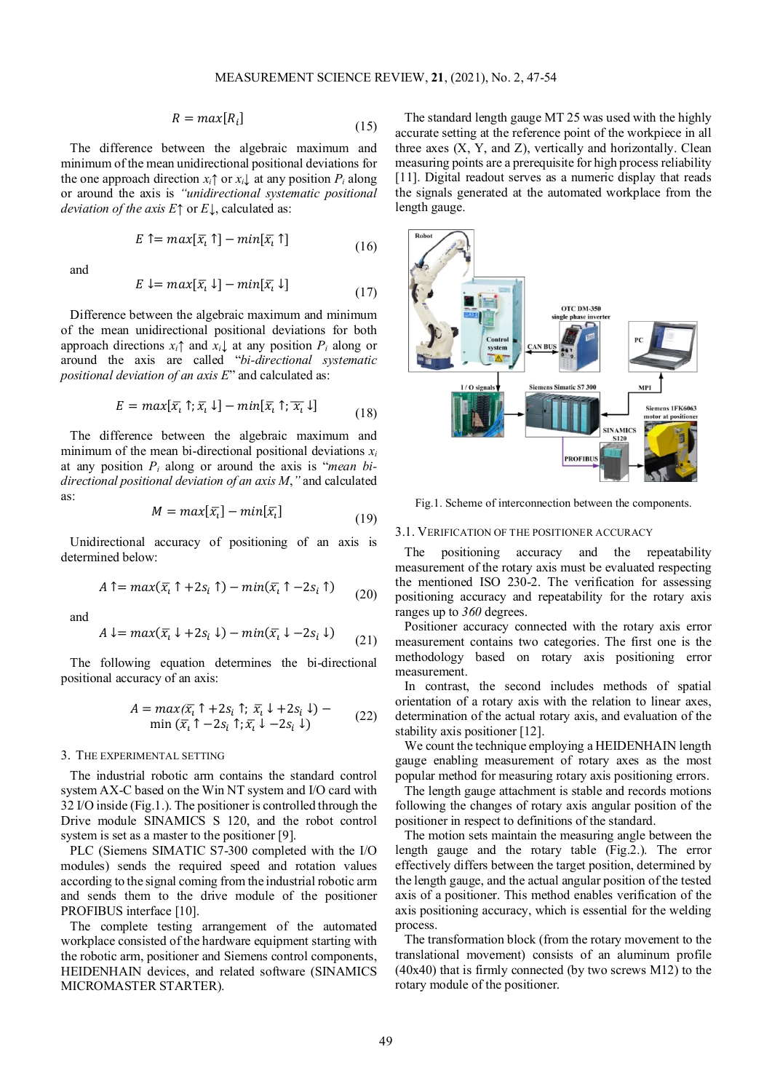$$
R = max[R_i] \tag{15}
$$

The difference between the algebraic maximum and minimum of the mean unidirectional positional deviations for the one approach direction  $x_i \uparrow$  or  $x_i \downarrow$  at any position  $P_i$  along or around the axis is *"unidirectional systematic positional deviation of the axis E*↑ or *E*↓, calculated as:

$$
E \uparrow = \max[\bar{x}_l \uparrow] - \min[\bar{x}_l \uparrow] \tag{16}
$$

and

$$
E \downarrow = max[\overline{x_i} \downarrow] - min[\overline{x_i} \downarrow]
$$
\n(17)

Difference between the algebraic maximum and minimum of the mean unidirectional positional deviations for both approach directions  $x_i \uparrow$  and  $x_i \downarrow$  at any position  $P_i$  along or around the axis are called "*bi-directional systematic positional deviation of an axis E*" and calculated as:

$$
E = \max[\overline{x_i} \uparrow; \overline{x_i} \downarrow] - \min[\overline{x_i} \uparrow; \overline{x_i} \downarrow]
$$
\n(18)

The difference between the algebraic maximum and minimum of the mean bi-directional positional deviations  $x_i$ at any position *Pi* along or around the axis is "*mean bidirectional positional deviation of an axis M*,*"* and calculated as:

$$
M = max[\overline{x_i}] - min[\overline{x_i}]
$$
\n(19)

Unidirectional accuracy of positioning of an axis is determined below:

$$
A \uparrow = \max(\bar{x}_i \uparrow + 2s_i \uparrow) - \min(\bar{x}_i \uparrow - 2s_i \uparrow) \tag{20}
$$

and

$$
A \downarrow = \max(\overline{x_i} \downarrow + 2s_i \downarrow) - \min(\overline{x_i} \downarrow - 2s_i \downarrow) \tag{21}
$$

The following equation determines the bi-directional positional accuracy of an axis:

$$
A = \max(\overline{x_i} \uparrow + 2s_i \uparrow; \overline{x_i} \downarrow + 2s_i \downarrow) - \min(\overline{x_i} \uparrow - 2s_i \uparrow; \overline{x_i} \downarrow - 2s_i \downarrow)
$$
 (22)

## 3. THE EXPERIMENTAL SETTING

The industrial robotic arm contains the standard control system AX-C based on the Win NT system and I/O card with 32 I/O inside [\(Fig.1.](#page-2-0)). The positioner is controlled through the Drive module SINAMICS S 120, and the robot control system is set as a master to the positioner [9].

PLC (Siemens SIMATIC S7-300 completed with the I/O modules) sends the required speed and rotation values according to the signal coming from the industrial robotic arm and sends them to the drive module of the positioner PROFIBUS interface [10].

The complete testing arrangement of the automated workplace consisted of the hardware equipment starting with the robotic arm, positioner and Siemens control components, HEIDENHAIN devices, and related software (SINAMICS MICROMASTER STARTER).

The standard length gauge MT 25 was used with the highly accurate setting at the reference point of the workpiece in all three axes  $(X, Y, and Z)$ , vertically and horizontally. Clean measuring points are a prerequisite for high process reliability [11]. Digital readout serves as a numeric display that reads the signals generated at the automated workplace from the length gauge.

<span id="page-2-0"></span>

Fig.1. Scheme of interconnection between the components.

## 3.1. VERIFICATION OF THE POSITIONER ACCURACY

The positioning accuracy and the repeatability measurement of the rotary axis must be evaluated respecting the mentioned ISO 230-2. The verification for assessing positioning accuracy and repeatability for the rotary axis ranges up to *360* degrees.

Positioner accuracy connected with the rotary axis error measurement contains two categories. The first one is the methodology based on rotary axis positioning error measurement.

In contrast, the second includes methods of spatial orientation of a rotary axis with the relation to linear axes, determination of the actual rotary axis, and evaluation of the stability axis positioner [12].

We count the technique employing a HEIDENHAIN length gauge enabling measurement of rotary axes as the most popular method for measuring rotary axis positioning errors.

The length gauge attachment is stable and records motions following the changes of rotary axis angular position of the positioner in respect to definitions of the standard.

The motion sets maintain the measuring angle between the length gauge and the rotary table [\(Fig.2.](#page-3-0)). The error effectively differs between the target position, determined by the length gauge, and the actual angular position of the tested axis of a positioner. This method enables verification of the axis positioning accuracy, which is essential for the welding process.

The transformation block (from the rotary movement to the translational movement) consists of an aluminum profile (40x40) that is firmly connected (by two screws M12) to the rotary module of the positioner.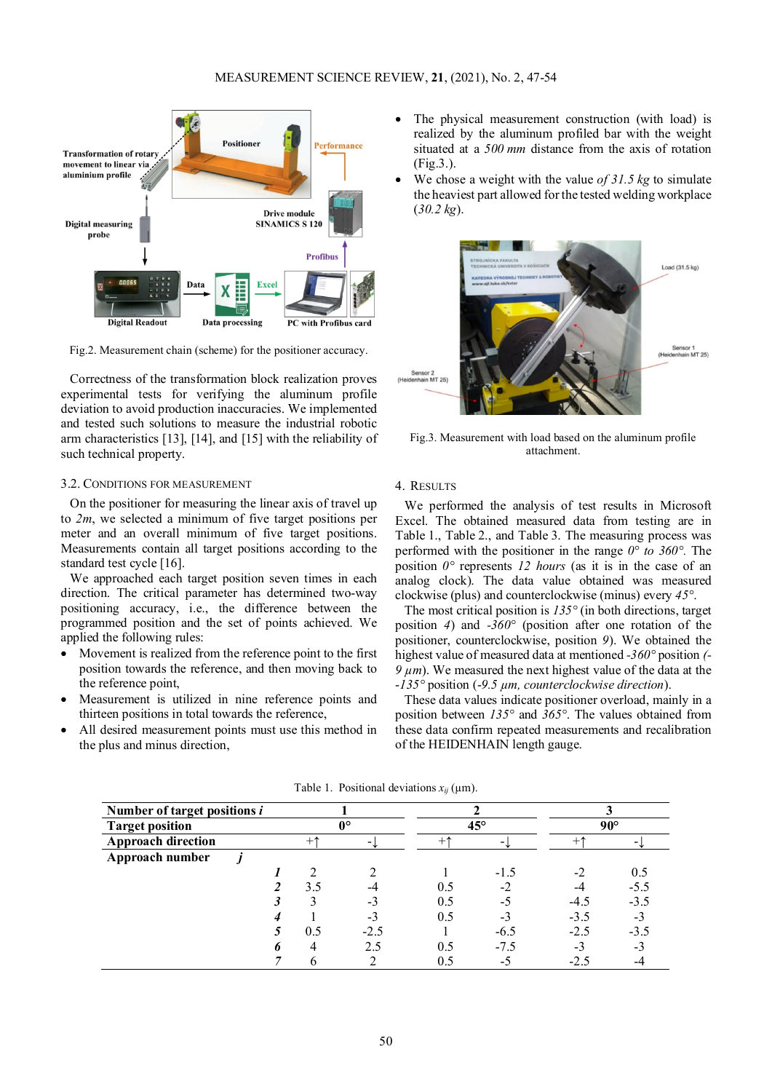<span id="page-3-0"></span>

Fig.2. Measurement chain (scheme) for the positioner accuracy.

Correctness of the transformation block realization proves experimental tests for verifying the aluminum profile deviation to avoid production inaccuracies. We implemented and tested such solutions to measure the industrial robotic arm characteristics [13], [14], and [15] with the reliability of such technical property.

## 3.2. CONDITIONS FOR MEASUREMENT

On the positioner for measuring the linear axis of travel up to *2m*, we selected a minimum of five target positions per meter and an overall minimum of five target positions. Measurements contain all target positions according to the standard test cycle [16].

We approached each target position seven times in each direction. The critical parameter has determined two-way positioning accuracy, i.e., the difference between the programmed position and the set of points achieved. We applied the following rules:

- Movement is realized from the reference point to the first position towards the reference, and then moving back to the reference point,
- Measurement is utilized in nine reference points and thirteen positions in total towards the reference,
- All desired measurement points must use this method in the plus and minus direction,
- The physical measurement construction (with load) is realized by the aluminum profiled bar with the weight situated at a *500 mm* distance from the axis of rotation [\(Fig.3.](#page-3-1)).
- We chose a weight with the value *of 31.5 kg* to simulate the heaviest part allowed for the tested welding workplace (*30.2 kg*).

<span id="page-3-1"></span>

Fig.3. Measurement with load based on the aluminum profile attachment.

## 4. RESULTS

We performed the analysis of test results in Microsoft Excel. The obtained measured data from testing are in [Table](#page-3-2) 1., [Table](#page-4-0) 2., and [Table](#page-4-1) 3. The measuring process was performed with the positioner in the range *0° to 360°.* The position *0°* represents *12 hours* (as it is in the case of an analog clock). The data value obtained was measured clockwise (plus) and counterclockwise (minus) every *45°*.

The most critical position is *135°* (in both directions, target position *4*) and *-360°* (position after one rotation of the positioner, counterclockwise, position *9*). We obtained the highest value of measured data at mentioned *-360°* position *(-*  $9 \mu m$ ). We measured the next highest value of the data at the -*135°* position (-*9.5 µm, counterclockwise direction*).

These data values indicate positioner overload, mainly in a position between *135°* and *365°*. The values obtained from these data confirm repeated measurements and recalibration of the HEIDENHAIN length gauge.

<span id="page-3-2"></span>

| Number of target positions i |             |     |        |              |        |              |        |  |
|------------------------------|-------------|-----|--------|--------------|--------|--------------|--------|--|
| <b>Target position</b>       | $0^{\circ}$ |     |        | $45^{\circ}$ |        | $90^{\circ}$ |        |  |
| <b>Approach direction</b>    | $+1$        |     |        |              |        | $+1$         |        |  |
| Approach number              |             |     |        |              |        |              |        |  |
|                              |             |     |        |              | $-1.5$ | $-2$         | 0.5    |  |
|                              |             | 3.5 |        | 0.5          | $-2$   | -4           | $-5.5$ |  |
|                              |             |     | - 1    | 0.5          | -5     | $-4.5$       | $-3.5$ |  |
|                              |             |     | -3     | 0.5          | $-3$   | $-3.5$       | $-3$   |  |
|                              |             | 0.5 | $-2.5$ |              | $-6.5$ | $-2.5$       | $-3.5$ |  |
|                              |             |     | 2.5    | 0.5          | $-7.5$ | $-3$         | $-3$   |  |
|                              |             |     |        | 0.5          | -5     | $-2.5$       | -4     |  |

Table 1. Positional deviations  $x_{ii}$  ( $\mu$ m).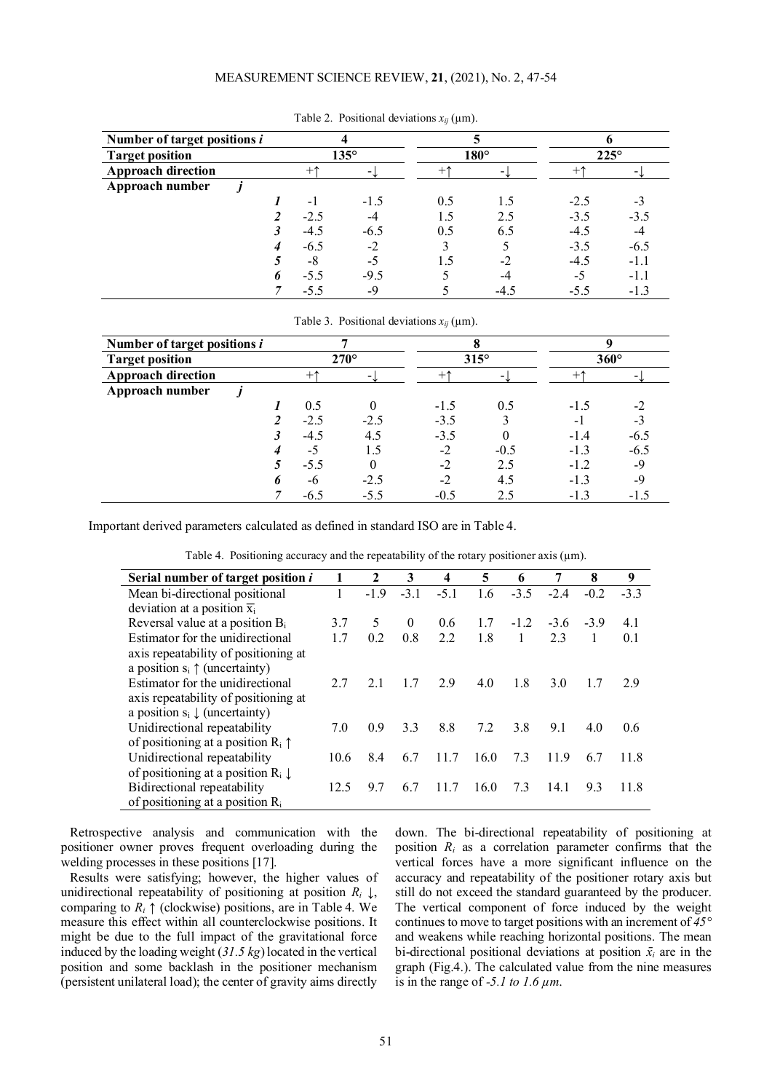# MEASUREMENT SCIENCE REVIEW, **21**, (2021), No. 2, 47-54

<span id="page-4-0"></span>

| Number of target positions i |                |                       |        |             |        |             |                |  |
|------------------------------|----------------|-----------------------|--------|-------------|--------|-------------|----------------|--|
| <b>Target position</b>       |                | $135^\circ$           |        | $180^\circ$ |        | $225^\circ$ |                |  |
| <b>Approach direction</b>    |                | $+\uparrow$<br>$\sim$ |        | $+1$        |        | $+$         | $\blacksquare$ |  |
| Approach number              |                |                       |        |             |        |             |                |  |
|                              |                | $-1$                  | $-1.5$ | 0.5         |        | $-2.5$      | $-3$           |  |
|                              | $\overline{c}$ | $-2.5$                | -4     |             | 2.5    | $-3.5$      | $-3.5$         |  |
|                              |                | $-4.5$                | $-6.5$ | 0.5         | 6.5    | $-4.5$      | $-4$           |  |
|                              |                | $-6.5$                | $-2$   |             |        | $-3.5$      | $-6.5$         |  |
|                              |                | -8                    | $-5$   |             | $-2$   | $-4.5$      | $-1.1$         |  |
|                              | 6              | $-5.5$                | $-9.5$ |             |        | $-5$        | $-1.1$         |  |
|                              |                | $-5.5$                | -9     |             | $-4.3$ | $-5.5$      | $-1.3$         |  |

Table 2. Positional deviations  $x_{ii}$  ( $\mu$ m).

<span id="page-4-1"></span>

| Number of target positions i |  |                |                            |             |             |                          |             |                |  |
|------------------------------|--|----------------|----------------------------|-------------|-------------|--------------------------|-------------|----------------|--|
| <b>Target position</b>       |  | $270^\circ$    |                            | $315^\circ$ |             | $360^\circ$              |             |                |  |
| <b>Approach direction</b>    |  |                | $+^{\uparrow}$<br>$\sim$ 1 |             | $+\uparrow$ | $\overline{\phantom{0}}$ | $+\uparrow$ | $\blacksquare$ |  |
| Approach number              |  |                |                            |             |             |                          |             |                |  |
|                              |  |                | 0.5                        |             | $-1.5$      | 0.5                      | $-1.5$      | $-2$           |  |
|                              |  | $\mathfrak{D}$ | $-2.5$                     | $-2.5$      | $-3.5$      |                          | $-1$        | $-3$           |  |
|                              |  |                | $-4.5$                     | 4.5         | $-3.5$      |                          | $-1.4$      | $-6.5$         |  |
|                              |  |                | -5                         | 1.5         | $-2$        | $-0.5$                   | $-1.3$      | $-6.5$         |  |
|                              |  |                | $-5.5$                     |             | $-2$        | 2.5                      | $-1.2$      | $-9$           |  |
|                              |  | n              | -6                         | $-2.5$      | $-2$        | 4.5                      | $-1.3$      | $-9$           |  |
|                              |  |                | $-6.5$                     | $-5.5$      | $-0.5$      | 2.5                      | $-1.3$      | $-1.5$         |  |

Table 3. Positional deviations  $x_{ii}$  ( $\mu$ m).

Important derived parameters calculated as defined in standard ISO are i[n Table](#page-4-2) 4.

Table 4. Positioning accuracy and the repeatability of the rotary positioner axis  $(\mu m)$ .

<span id="page-4-2"></span>

| Serial number of target position i            | 1    | 2              | 3        | $\overline{\mathbf{4}}$ | 5    | 6      | 7      | 8      | 9     |
|-----------------------------------------------|------|----------------|----------|-------------------------|------|--------|--------|--------|-------|
| Mean bi-directional positional                |      | $-19$          | $-31$    | $-5.1$                  | 1.6  | $-3.5$ | $-2.4$ | $-0.2$ | $-33$ |
| deviation at a position $\overline{x}_i$      |      |                |          |                         |      |        |        |        |       |
| Reversal value at a position $B_i$            | 3.7  | 5              | $\theta$ | 0.6                     | 1.7  | $-1.2$ | $-3.6$ | $-3.9$ | 4.1   |
| Estimator for the unidirectional              | 17   | 0 <sub>2</sub> | 0.8      | 22                      | 1.8  |        | 23     |        | 0.1   |
| axis repeatability of positioning at          |      |                |          |                         |      |        |        |        |       |
| a position $s_i \uparrow$ (uncertainty)       |      |                |          |                         |      |        |        |        |       |
| Estimator for the unidirectional              | 27   | 21             | 17       | 29                      | 4.0  | 1.8    | 3.0    | 1.7    | 2.9   |
| axis repeatability of positioning at          |      |                |          |                         |      |        |        |        |       |
| a position $s_i \downarrow$ (uncertainty)     |      |                |          |                         |      |        |        |        |       |
| Unidirectional repeatability                  | 7.0  | 0.9            | 33       | 8.8                     | 7.2  | 3.8    | 9.1    | 4.0    | 0.6   |
| of positioning at a position $R_i \uparrow$   |      |                |          |                         |      |        |        |        |       |
| Unidirectional repeatability                  | 10.6 | 8.4            | 6.7      | 117                     | 16.0 | 7.3    | 119    | 6.7    | 11.8  |
| of positioning at a position $R_i \downarrow$ |      |                |          |                         |      |        |        |        |       |
| Bidirectional repeatability                   | 12.5 | 9.7            | 6.7      | 117                     | 16.0 | 7.3    | 14.1   | 9.3    | 11.8  |
| of positioning at a position $R_i$            |      |                |          |                         |      |        |        |        |       |

Retrospective analysis and communication with the positioner owner proves frequent overloading during the welding processes in these positions [17].

Results were satisfying; however, the higher values of unidirectional repeatability of positioning at position  $R_i \downarrow$ , comparing to  $R_i \uparrow$  (clockwise) positions, are in [Table](#page-4-2) 4. We measure this effect within all counterclockwise positions. It might be due to the full impact of the gravitational force induced by the loading weight (*31.5 kg*) located in the vertical position and some backlash in the positioner mechanism (persistent unilateral load); the center of gravity aims directly

down. The bi-directional repeatability of positioning at position *Ri* as a correlation parameter confirms that the vertical forces have a more significant influence on the accuracy and repeatability of the positioner rotary axis but still do not exceed the standard guaranteed by the producer. The vertical component of force induced by the weight continues to move to target positions with an increment of *45°* and weakens while reaching horizontal positions. The mean bi-directional positional deviations at position  $\bar{x}_i$  are in the graph [\(Fig.4.](#page-5-0)). The calculated value from the nine measures is in the range of  $-5.1$  to  $1.6 \mu m$ .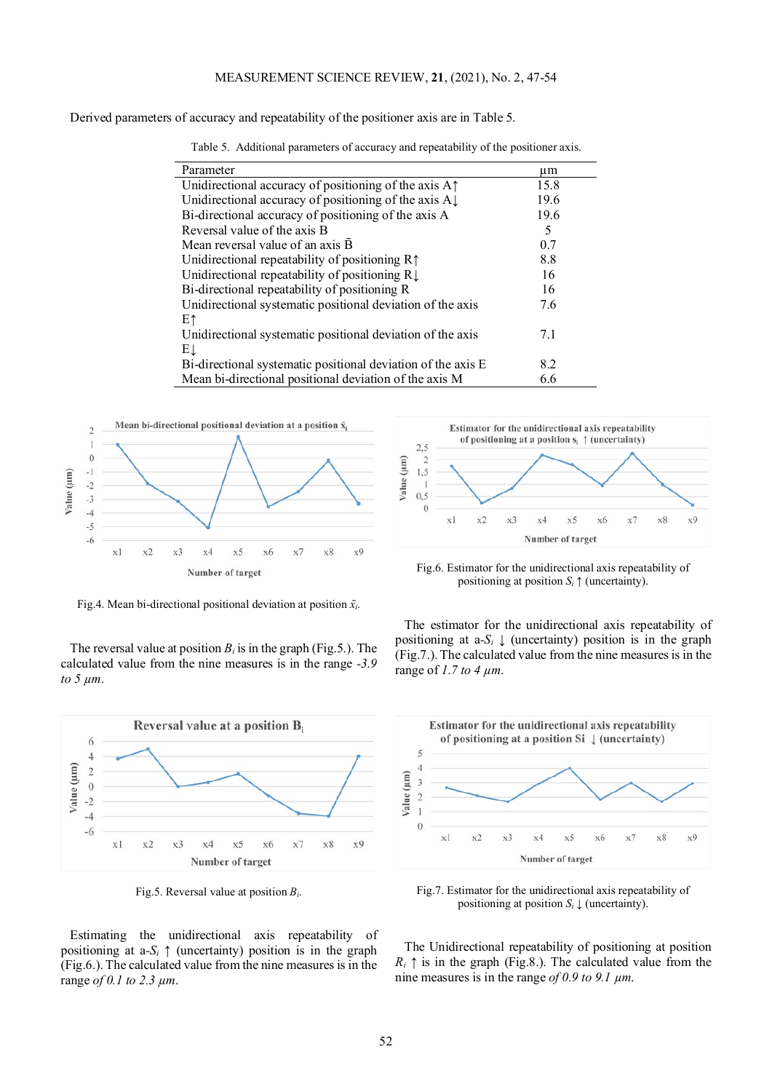Derived parameters of accuracy and repeatability of the positioner axis are in [Table](#page-5-1) 5.

<span id="page-5-1"></span>

| Parameter                                                                             | μm   |
|---------------------------------------------------------------------------------------|------|
| Unidirectional accuracy of positioning of the axis A <sup><math>\uparrow</math></sup> | 15.8 |
| Unidirectional accuracy of positioning of the axis $A\downarrow$                      | 19.6 |
| Bi-directional accuracy of positioning of the axis A                                  | 19.6 |
| Reversal value of the axis B                                                          | 5    |
| Mean reversal value of an axis B                                                      | 0.7  |
| Unidirectional repeatability of positioning $R\uparrow$                               | 8.8  |
| Unidirectional repeatability of positioning $R \downarrow$                            | 16   |
| Bi-directional repeatability of positioning R                                         | 16   |
| Unidirectional systematic positional deviation of the axis                            | 7.6  |
| Ε↑                                                                                    |      |
| Unidirectional systematic positional deviation of the axis                            | 7.1  |
| EŢ                                                                                    |      |
| Bi-directional systematic positional deviation of the axis E                          | 8.2  |
| Mean bi-directional positional deviation of the axis M                                | 6.6  |

Table 5. Additional parameters of accuracy and repeatability of the positioner axis.

<span id="page-5-0"></span>

Fig.4. Mean bi-directional positional deviation at position  $\bar{x_i}$ .

The reversal value at position  $B_i$  is in the graph [\(Fig.5.](#page-5-2)). The calculated value from the nine measures is in the range *-3.9 to 5 µm*.

<span id="page-5-2"></span>

Fig.5. Reversal value at position *Bi*.

Estimating the unidirectional axis repeatability of positioning at  $a - S_i$  ↑ (uncertainty) position is in the graph [\(Fig.6.](#page-5-3)). The calculated value from the nine measures is in the range *of 0.1 to 2.3 µm*.

<span id="page-5-3"></span>

Fig.6. Estimator for the unidirectional axis repeatability of positioning at position  $S_i \uparrow$  (uncertainty).

The estimator for the unidirectional axis repeatability of positioning at  $a-S_i \downarrow$  (uncertainty) position is in the graph [\(Fig.7.](#page-5-4)). The calculated value from the nine measures is in the range of *1.7 to 4 µm*.

<span id="page-5-4"></span>

Fig.7. Estimator for the unidirectional axis repeatability of positioning at position  $S_i \downarrow$  (uncertainty).

The Unidirectional repeatability of positioning at position  $R_i \uparrow$  is in the graph [\(Fig.8.](#page-6-0)). The calculated value from the nine measures is in the range *of 0.9 to 9.1 µm*.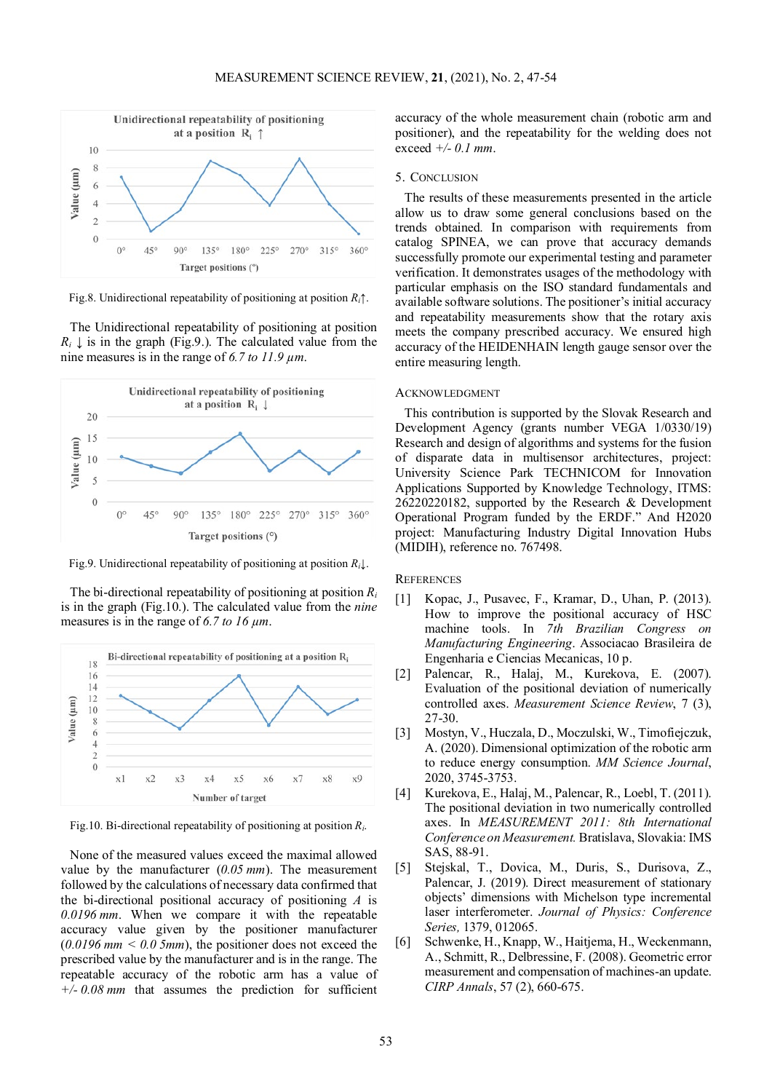<span id="page-6-0"></span>

Fig.8. Unidirectional repeatability of positioning at position *Ri*↑.

The Unidirectional repeatability of positioning at position  $R_i \downarrow$  is in the graph [\(Fig.9.](#page-6-1)). The calculated value from the nine measures is in the range of *6.7 to 11.9 µm*.

<span id="page-6-1"></span>

Fig.9. Unidirectional repeatability of positioning at position *Ri*↓.

The bi-directional repeatability of positioning at position *Ri* is in the graph [\(Fig.10.](#page-6-2)). The calculated value from the *nine*  measures is in the range of *6.7 to 16 µm*.

<span id="page-6-2"></span>

Fig.10. Bi-directional repeatability of positioning at position *Ri*.

None of the measured values exceed the maximal allowed value by the manufacturer (*0.05 mm*). The measurement followed by the calculations of necessary data confirmed that the bi-directional positional accuracy of positioning *A* is *0.0196 mm*. When we compare it with the repeatable accuracy value given by the positioner manufacturer  $(0.0196 \text{ mm} < 0.05 \text{ mm})$ , the positioner does not exceed the prescribed value by the manufacturer and is in the range. The repeatable accuracy of the robotic arm has a value of *+/- 0.08 mm* that assumes the prediction for sufficient

accuracy of the whole measurement chain (robotic arm and positioner), and the repeatability for the welding does not exceed *+/- 0.1 mm*.

#### 5. CONCLUSION

The results of these measurements presented in the article allow us to draw some general conclusions based on the trends obtained. In comparison with requirements from catalog SPINEA, we can prove that accuracy demands successfully promote our experimental testing and parameter verification. It demonstrates usages of the methodology with particular emphasis on the ISO standard fundamentals and available software solutions. The positioner's initial accuracy and repeatability measurements show that the rotary axis meets the company prescribed accuracy. We ensured high accuracy of the HEIDENHAIN length gauge sensor over the entire measuring length.

## **ACKNOWLEDGMENT**

This contribution is supported by the Slovak Research and Development Agency (grants number VEGA 1/0330/19) Research and design of algorithms and systems for the fusion of disparate data in multisensor architectures, project: University Science Park TECHNICOM for Innovation Applications Supported by Knowledge Technology, ITMS: 26220220182, supported by the Research & Development Operational Program funded by the ERDF." And H2020 project: Manufacturing Industry Digital Innovation Hubs (MIDIH), reference no. 767498.

## **REFERENCES**

- [1] Kopac, J., Pusavec, F., Kramar, D., Uhan, P. (2013). How to improve the positional accuracy of HSC machine tools. In *7th Brazilian Congress on Manufacturing Engineering*. Associacao Brasileira de Engenharia e Ciencias Mecanicas, 10 p.
- [2] Palencar, R., Halaj, M., Kurekova, E. (2007). Evaluation of the positional deviation of numerically controlled axes. *Measurement Science Review*, 7 (3), 27-30.
- [3] Mostyn, V., Huczala, D., Moczulski, W., Timofiejczuk, A. (2020). Dimensional optimization of the robotic arm to reduce energy consumption. *MM Science Journal*, 2020, 3745-3753.
- [4] Kurekova, E., Halaj, M., Palencar, R., Loebl, T. (2011). The positional deviation in two numerically controlled axes. In *MEASUREMENT 2011: 8th International Conference on Measurement.* Bratislava, Slovakia: IMS SAS, 88-91.
- [5] Stejskal, T., Dovica, M., Duris, S., Durisova, Z., Palencar, J. (2019). Direct measurement of stationary objects' dimensions with Michelson type incremental laser interferometer. *Journal of Physics: Conference Series,* 1379, 012065.
- [6] Schwenke, H., Knapp, W., Haitjema, H., Weckenmann, A., Schmitt, R., Delbressine, F. (2008). Geometric error measurement and compensation of machines-an update. *CIRP Annals*, 57 (2), 660-675.